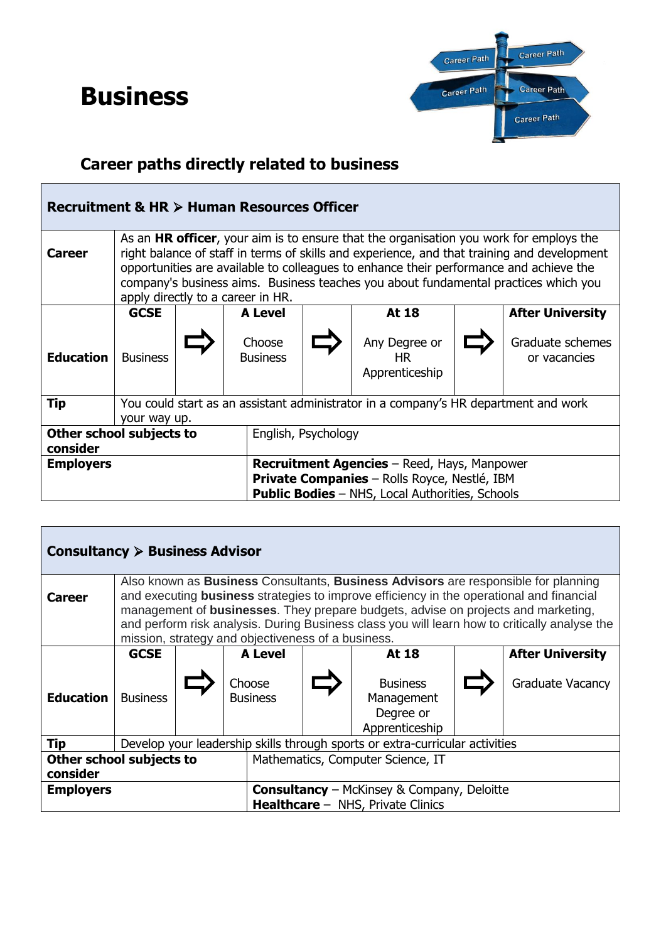## **Business**



## **Career paths directly related to business**

| Recruitment & HR > Human Resources Officer                                                                                                                                              |                                                                                                                                                                                                                                                                                                                                                                                                                     |  |                                                           |                     |                                              |  |                                  |  |  |
|-----------------------------------------------------------------------------------------------------------------------------------------------------------------------------------------|---------------------------------------------------------------------------------------------------------------------------------------------------------------------------------------------------------------------------------------------------------------------------------------------------------------------------------------------------------------------------------------------------------------------|--|-----------------------------------------------------------|---------------------|----------------------------------------------|--|----------------------------------|--|--|
| <b>Career</b>                                                                                                                                                                           | As an <b>HR officer</b> , your aim is to ensure that the organisation you work for employs the<br>right balance of staff in terms of skills and experience, and that training and development<br>opportunities are available to colleagues to enhance their performance and achieve the<br>company's business aims. Business teaches you about fundamental practices which you<br>apply directly to a career in HR. |  |                                                           |                     |                                              |  |                                  |  |  |
|                                                                                                                                                                                         | <b>GCSE</b>                                                                                                                                                                                                                                                                                                                                                                                                         |  | <b>A Level</b><br><b>At 18</b><br><b>After University</b> |                     |                                              |  |                                  |  |  |
| <b>Education</b>                                                                                                                                                                        | <b>Business</b>                                                                                                                                                                                                                                                                                                                                                                                                     |  | Choose<br><b>Business</b>                                 |                     | Any Degree or<br><b>HR</b><br>Apprenticeship |  | Graduate schemes<br>or vacancies |  |  |
| Tip                                                                                                                                                                                     | You could start as an assistant administrator in a company's HR department and work<br>your way up.                                                                                                                                                                                                                                                                                                                 |  |                                                           |                     |                                              |  |                                  |  |  |
| Other school subjects to<br>consider                                                                                                                                                    |                                                                                                                                                                                                                                                                                                                                                                                                                     |  |                                                           | English, Psychology |                                              |  |                                  |  |  |
| <b>Recruitment Agencies</b> – Reed, Hays, Manpower<br><b>Employers</b><br><b>Private Companies</b> - Rolls Royce, Nestlé, IBM<br><b>Public Bodies</b> - NHS, Local Authorities, Schools |                                                                                                                                                                                                                                                                                                                                                                                                                     |  |                                                           |                     |                                              |  |                                  |  |  |

| Consultancy $\triangleright$ Business Advisor                         |                                                                                                                                                                                                                                                                                                                                                                                                                                                         |                                                           |                           |  |  |                                                              |  |                         |
|-----------------------------------------------------------------------|---------------------------------------------------------------------------------------------------------------------------------------------------------------------------------------------------------------------------------------------------------------------------------------------------------------------------------------------------------------------------------------------------------------------------------------------------------|-----------------------------------------------------------|---------------------------|--|--|--------------------------------------------------------------|--|-------------------------|
| <b>Career</b>                                                         | Also known as <b>Business</b> Consultants, <b>Business Advisors</b> are responsible for planning<br>and executing <b>business</b> strategies to improve efficiency in the operational and financial<br>management of <b>businesses</b> . They prepare budgets, advise on projects and marketing,<br>and perform risk analysis. During Business class you will learn how to critically analyse the<br>mission, strategy and objectiveness of a business. |                                                           |                           |  |  |                                                              |  |                         |
|                                                                       | <b>GCSE</b>                                                                                                                                                                                                                                                                                                                                                                                                                                             | <b>After University</b><br><b>A Level</b><br><b>At 18</b> |                           |  |  |                                                              |  |                         |
| <b>Education</b>                                                      | <b>Business</b>                                                                                                                                                                                                                                                                                                                                                                                                                                         |                                                           | Choose<br><b>Business</b> |  |  | <b>Business</b><br>Management<br>Degree or<br>Apprenticeship |  | <b>Graduate Vacancy</b> |
| <b>Tip</b>                                                            | Develop your leadership skills through sports or extra-curricular activities                                                                                                                                                                                                                                                                                                                                                                            |                                                           |                           |  |  |                                                              |  |                         |
| Other school subjects to<br>Mathematics, Computer Science, IT         |                                                                                                                                                                                                                                                                                                                                                                                                                                                         |                                                           |                           |  |  |                                                              |  |                         |
| consider                                                              |                                                                                                                                                                                                                                                                                                                                                                                                                                                         |                                                           |                           |  |  |                                                              |  |                         |
| <b>Employers</b><br><b>Consultancy</b> – McKinsey & Company, Deloitte |                                                                                                                                                                                                                                                                                                                                                                                                                                                         |                                                           |                           |  |  |                                                              |  |                         |
|                                                                       |                                                                                                                                                                                                                                                                                                                                                                                                                                                         | <b>Healthcare</b> - NHS, Private Clinics                  |                           |  |  |                                                              |  |                         |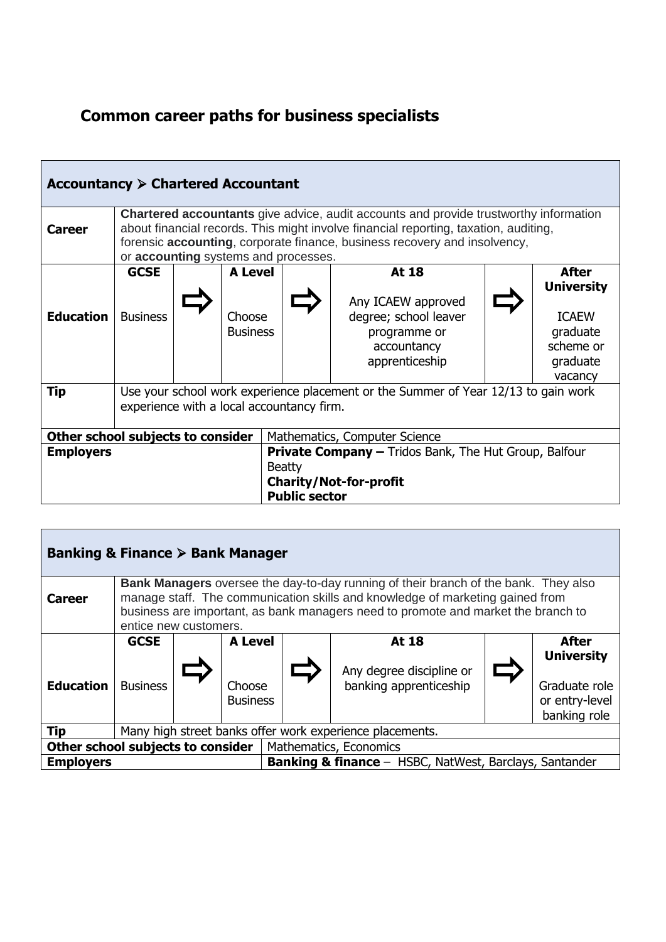## **Common career paths for business specialists**

| Accountancy $\triangleright$ Chartered Accountant |                                                                                                                                                                                                                                                                                                           |                                             |                                                                                                                                        |                                                                                                       |  |                                                                                            |  |  |
|---------------------------------------------------|-----------------------------------------------------------------------------------------------------------------------------------------------------------------------------------------------------------------------------------------------------------------------------------------------------------|---------------------------------------------|----------------------------------------------------------------------------------------------------------------------------------------|-------------------------------------------------------------------------------------------------------|--|--------------------------------------------------------------------------------------------|--|--|
| <b>Career</b>                                     | <b>Chartered accountants</b> give advice, audit accounts and provide trustworthy information<br>about financial records. This might involve financial reporting, taxation, auditing,<br>forensic accounting, corporate finance, business recovery and insolvency,<br>or accounting systems and processes. |                                             |                                                                                                                                        |                                                                                                       |  |                                                                                            |  |  |
| <b>Education</b>                                  | <b>GCSE</b><br><b>Business</b>                                                                                                                                                                                                                                                                            | <b>A Level</b><br>Choose<br><b>Business</b> |                                                                                                                                        | At 18<br>Any ICAEW approved<br>degree; school leaver<br>programme or<br>accountancy<br>apprenticeship |  | After<br><b>University</b><br><b>ICAEW</b><br>graduate<br>scheme or<br>graduate<br>vacancy |  |  |
| Tip                                               | Use your school work experience placement or the Summer of Year 12/13 to gain work<br>experience with a local accountancy firm.                                                                                                                                                                           |                                             |                                                                                                                                        |                                                                                                       |  |                                                                                            |  |  |
|                                                   |                                                                                                                                                                                                                                                                                                           | Other school subjects to consider           | Mathematics, Computer Science                                                                                                          |                                                                                                       |  |                                                                                            |  |  |
| <b>Employers</b>                                  |                                                                                                                                                                                                                                                                                                           |                                             | <b>Private Company - Tridos Bank, The Hut Group, Balfour</b><br><b>Beatty</b><br><b>Charity/Not-for-profit</b><br><b>Public sector</b> |                                                                                                       |  |                                                                                            |  |  |

| Banking & Finance $\triangleright$ Bank Manager             |                                                                                                                                                                                                                                                                                           |                                                |                           |  |                                                    |  |                                                                      |  |  |
|-------------------------------------------------------------|-------------------------------------------------------------------------------------------------------------------------------------------------------------------------------------------------------------------------------------------------------------------------------------------|------------------------------------------------|---------------------------|--|----------------------------------------------------|--|----------------------------------------------------------------------|--|--|
| <b>Career</b>                                               | <b>Bank Managers</b> oversee the day-to-day running of their branch of the bank. They also<br>manage staff. The communication skills and knowledge of marketing gained from<br>business are important, as bank managers need to promote and market the branch to<br>entice new customers. |                                                |                           |  |                                                    |  |                                                                      |  |  |
|                                                             | <b>GCSE</b>                                                                                                                                                                                                                                                                               | <b>A Level</b><br><b>At 18</b><br><b>After</b> |                           |  |                                                    |  |                                                                      |  |  |
| <b>Education</b>                                            | <b>Business</b>                                                                                                                                                                                                                                                                           |                                                | Choose<br><b>Business</b> |  | Any degree discipline or<br>banking apprenticeship |  | <b>University</b><br>Graduate role<br>or entry-level<br>banking role |  |  |
| Tip                                                         | Many high street banks offer work experience placements.                                                                                                                                                                                                                                  |                                                |                           |  |                                                    |  |                                                                      |  |  |
| Other school subjects to consider<br>Mathematics, Economics |                                                                                                                                                                                                                                                                                           |                                                |                           |  |                                                    |  |                                                                      |  |  |
| <b>Employers</b>                                            | <b>Banking &amp; finance</b> - HSBC, NatWest, Barclays, Santander                                                                                                                                                                                                                         |                                                |                           |  |                                                    |  |                                                                      |  |  |